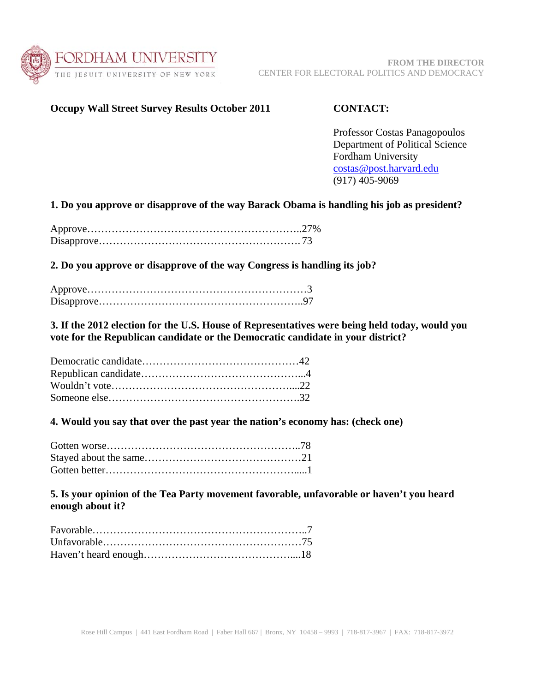

## **Occupy Wall Street Survey Results October 2011 CONTACT:**

Professor Costas Panagopoulos Department of Political Science Fordham University costas@post.harvard.edu (917) 405-9069

## **1. Do you approve or disapprove of the way Barack Obama is handling his job as president?**

**2. Do you approve or disapprove of the way Congress is handling its job?** 

**3. If the 2012 election for the U.S. House of Representatives were being held today, would you vote for the Republican candidate or the Democratic candidate in your district?** 

**4. Would you say that over the past year the nation's economy has: (check one)** 

**5. Is your opinion of the Tea Party movement favorable, unfavorable or haven't you heard enough about it?**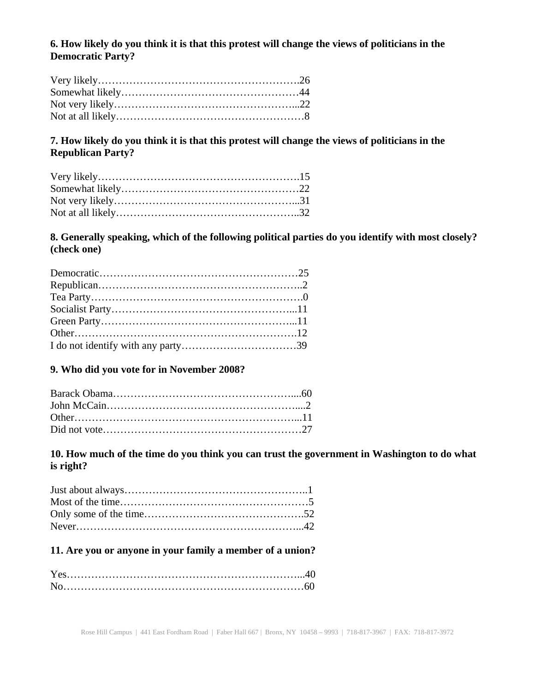## **6. How likely do you think it is that this protest will change the views of politicians in the Democratic Party?**

# **7. How likely do you think it is that this protest will change the views of politicians in the Republican Party?**

# **8. Generally speaking, which of the following political parties do you identify with most closely? (check one)**

## **9. Who did you vote for in November 2008?**

## **10. How much of the time do you think you can trust the government in Washington to do what is right?**

## **11. Are you or anyone in your family a member of a union?**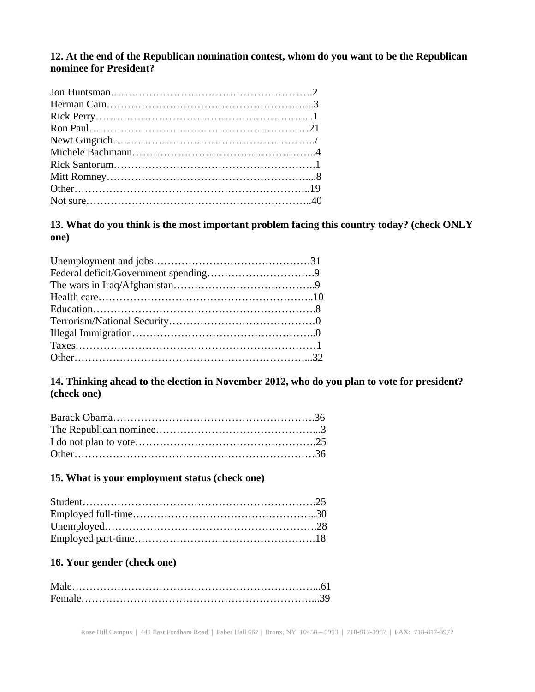### **12. At the end of the Republican nomination contest, whom do you want to be the Republican nominee for President?**

**13. What do you think is the most important problem facing this country today? (check ONLY one)** 

## **14. Thinking ahead to the election in November 2012, who do you plan to vote for president? (check one)**

### **15. What is your employment status (check one)**

# **16. Your gender (check one)**